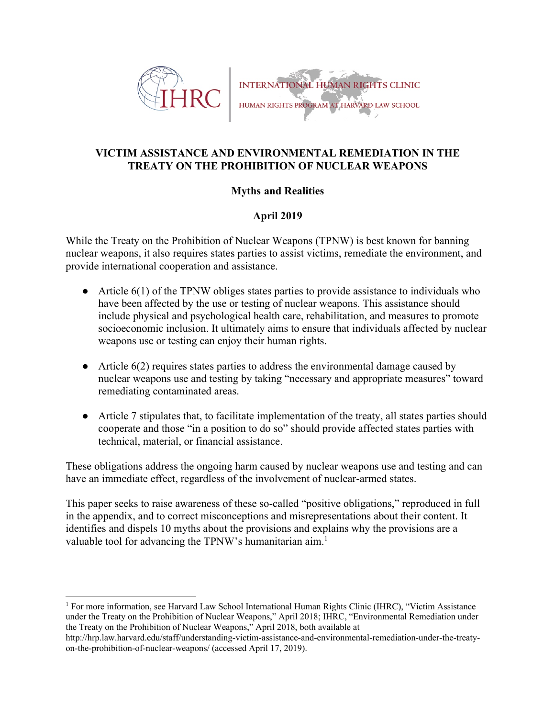



# **VICTIM ASSISTANCE AND ENVIRONMENTAL REMEDIATION IN THE TREATY ON THE PROHIBITION OF NUCLEAR WEAPONS**

# **Myths and Realities**

# **April 2019**

While the Treaty on the Prohibition of Nuclear Weapons (TPNW) is best known for banning nuclear weapons, it also requires states parties to assist victims, remediate the environment, and provide international cooperation and assistance.

- $\bullet$  Article 6(1) of the TPNW obliges states parties to provide assistance to individuals who have been affected by the use or testing of nuclear weapons. This assistance should include physical and psychological health care, rehabilitation, and measures to promote socioeconomic inclusion. It ultimately aims to ensure that individuals affected by nuclear weapons use or testing can enjoy their human rights.
- Article 6(2) requires states parties to address the environmental damage caused by nuclear weapons use and testing by taking "necessary and appropriate measures" toward remediating contaminated areas.
- Article 7 stipulates that, to facilitate implementation of the treaty, all states parties should cooperate and those "in a position to do so" should provide affected states parties with technical, material, or financial assistance.

These obligations address the ongoing harm caused by nuclear weapons use and testing and can have an immediate effect, regardless of the involvement of nuclear-armed states.

This paper seeks to raise awareness of these so-called "positive obligations," reproduced in full in the appendix, and to correct misconceptions and misrepresentations about their content. It identifies and dispels 10 myths about the provisions and explains why the provisions are a valuable tool for advancing the TPNW's humanitarian aim.<sup>1</sup>

<sup>1</sup> For more information, see Harvard Law School International Human Rights Clinic (IHRC), "Victim Assistance under the Treaty on the Prohibition of Nuclear Weapons," April 2018; IHRC, "Environmental Remediation under the Treaty on the Prohibition of Nuclear Weapons," April 2018, both available at

http://hrp.law.harvard.edu/staff/understanding-victim-assistance-and-environmental-remediation-under-the-treatyon-the-prohibition-of-nuclear-weapons/ (accessed April 17, 2019).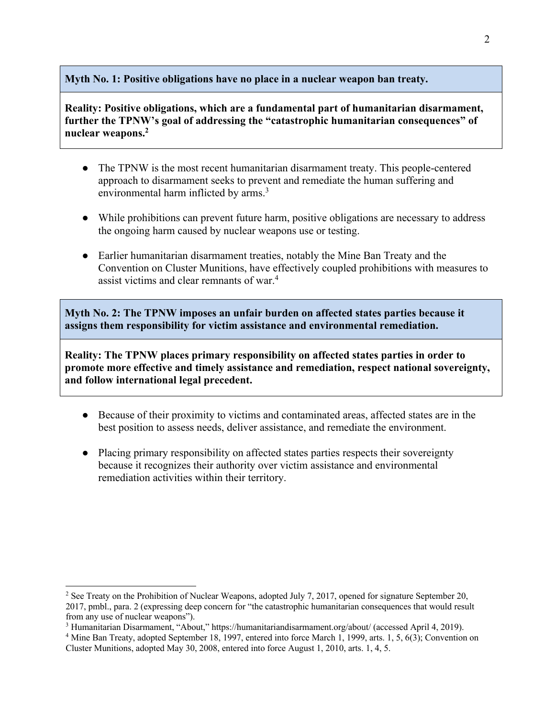### **Myth No. 1: Positive obligations have no place in a nuclear weapon ban treaty.**

**Reality: Positive obligations, which are a fundamental part of humanitarian disarmament, further the TPNW's goal of addressing the "catastrophic humanitarian consequences" of nuclear weapons.2**

- The TPNW is the most recent humanitarian disarmament treaty. This people-centered approach to disarmament seeks to prevent and remediate the human suffering and environmental harm inflicted by arms.<sup>3</sup>
- While prohibitions can prevent future harm, positive obligations are necessary to address the ongoing harm caused by nuclear weapons use or testing.
- Earlier humanitarian disarmament treaties, notably the Mine Ban Treaty and the Convention on Cluster Munitions, have effectively coupled prohibitions with measures to assist victims and clear remnants of war.4

**Myth No. 2: The TPNW imposes an unfair burden on affected states parties because it assigns them responsibility for victim assistance and environmental remediation.** 

**Reality: The TPNW places primary responsibility on affected states parties in order to promote more effective and timely assistance and remediation, respect national sovereignty, and follow international legal precedent.**

- Because of their proximity to victims and contaminated areas, affected states are in the best position to assess needs, deliver assistance, and remediate the environment.
- Placing primary responsibility on affected states parties respects their sovereignty because it recognizes their authority over victim assistance and environmental remediation activities within their territory.

<sup>&</sup>lt;sup>2</sup> See Treaty on the Prohibition of Nuclear Weapons, adopted July 7, 2017, opened for signature September 20, 2017, pmbl., para. 2 (expressing deep concern for "the catastrophic humanitarian consequences that would result from any use of nuclear weapons").

<sup>3</sup> Humanitarian Disarmament, "About," https://humanitariandisarmament.org/about/ (accessed April 4, 2019).

<sup>4</sup> Mine Ban Treaty, adopted September 18, 1997, entered into force March 1, 1999, arts. 1, 5, 6(3); Convention on Cluster Munitions, adopted May 30, 2008, entered into force August 1, 2010, arts. 1, 4, 5.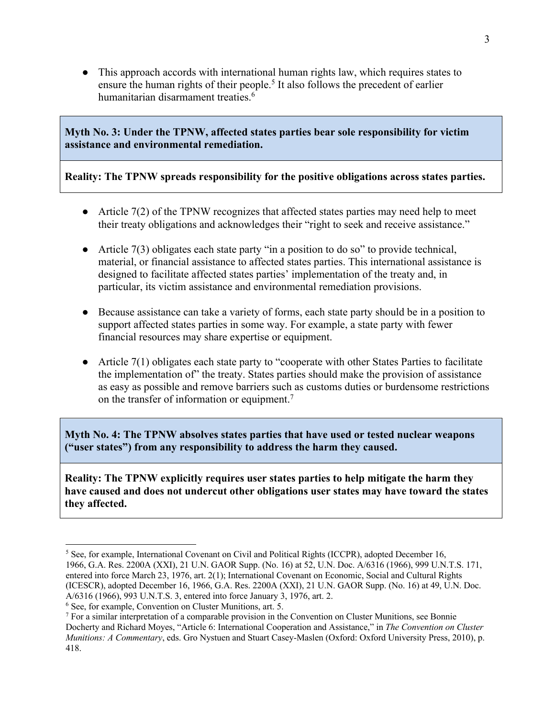● This approach accords with international human rights law, which requires states to ensure the human rights of their people.<sup>5</sup> It also follows the precedent of earlier humanitarian disarmament treaties.<sup>6</sup>

**Myth No. 3: Under the TPNW, affected states parties bear sole responsibility for victim assistance and environmental remediation.**

### **Reality: The TPNW spreads responsibility for the positive obligations across states parties.**

- Article  $7(2)$  of the TPNW recognizes that affected states parties may need help to meet their treaty obligations and acknowledges their "right to seek and receive assistance."
- Article 7(3) obligates each state party "in a position to do so" to provide technical, material, or financial assistance to affected states parties. This international assistance is designed to facilitate affected states parties' implementation of the treaty and, in particular, its victim assistance and environmental remediation provisions.
- Because assistance can take a variety of forms, each state party should be in a position to support affected states parties in some way. For example, a state party with fewer financial resources may share expertise or equipment.
- Article  $7(1)$  obligates each state party to "cooperate with other States Parties to facilitate the implementation of" the treaty. States parties should make the provision of assistance as easy as possible and remove barriers such as customs duties or burdensome restrictions on the transfer of information or equipment.7

**Myth No. 4: The TPNW absolves states parties that have used or tested nuclear weapons ("user states") from any responsibility to address the harm they caused.**

**Reality: The TPNW explicitly requires user states parties to help mitigate the harm they have caused and does not undercut other obligations user states may have toward the states they affected.** 

<sup>5</sup> See, for example, International Covenant on Civil and Political Rights (ICCPR), adopted December 16, 1966, G.A. Res. 2200A (XXI), 21 U.N. GAOR Supp. (No. 16) at 52, U.N. Doc. A/6316 (1966), 999 U.N.T.S. 171, entered into force March 23, 1976, art. 2(1); International Covenant on Economic, Social and Cultural Rights (ICESCR), adopted December 16, 1966, G.A. Res. 2200A (XXI), 21 U.N. GAOR Supp. (No. 16) at 49, U.N. Doc. A/6316 (1966), 993 U.N.T.S. 3, entered into force January 3, 1976, art. 2.

<sup>&</sup>lt;sup>6</sup> See, for example, Convention on Cluster Munitions, art. 5.  $\frac{7}{1}$  For a similar interpretation of a comparable provision in the Convention on Cluster Munitions, see Bonnie Docherty and Richard Moyes, "Article 6: International Cooperation and Assistance," in *The Convention on Cluster Munitions: A Commentary*, eds. Gro Nystuen and Stuart Casey-Maslen (Oxford: Oxford University Press, 2010), p. 418.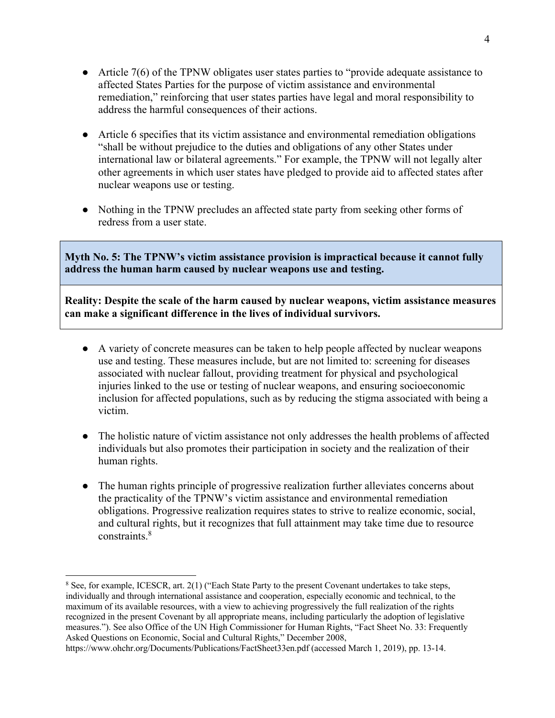- Article 7(6) of the TPNW obligates user states parties to "provide adequate assistance to affected States Parties for the purpose of victim assistance and environmental remediation," reinforcing that user states parties have legal and moral responsibility to address the harmful consequences of their actions.
- Article 6 specifies that its victim assistance and environmental remediation obligations "shall be without prejudice to the duties and obligations of any other States under international law or bilateral agreements." For example, the TPNW will not legally alter other agreements in which user states have pledged to provide aid to affected states after nuclear weapons use or testing.
- Nothing in the TPNW precludes an affected state party from seeking other forms of redress from a user state.

**Myth No. 5: The TPNW's victim assistance provision is impractical because it cannot fully address the human harm caused by nuclear weapons use and testing.** 

**Reality: Despite the scale of the harm caused by nuclear weapons, victim assistance measures can make a significant difference in the lives of individual survivors.** 

- A variety of concrete measures can be taken to help people affected by nuclear weapons use and testing. These measures include, but are not limited to: screening for diseases associated with nuclear fallout, providing treatment for physical and psychological injuries linked to the use or testing of nuclear weapons, and ensuring socioeconomic inclusion for affected populations, such as by reducing the stigma associated with being a victim.
- The holistic nature of victim assistance not only addresses the health problems of affected individuals but also promotes their participation in society and the realization of their human rights.
- The human rights principle of progressive realization further alleviates concerns about the practicality of the TPNW's victim assistance and environmental remediation obligations. Progressive realization requires states to strive to realize economic, social, and cultural rights, but it recognizes that full attainment may take time due to resource constraints. 8

 $\overline{a}$ 

<sup>&</sup>lt;sup>8</sup> See, for example, ICESCR, art. 2(1) ("Each State Party to the present Covenant undertakes to take steps, individually and through international assistance and cooperation, especially economic and technical, to the maximum of its available resources, with a view to achieving progressively the full realization of the rights recognized in the present Covenant by all appropriate means, including particularly the adoption of legislative measures."). See also Office of the UN High Commissioner for Human Rights, "Fact Sheet No. 33: Frequently Asked Questions on Economic, Social and Cultural Rights," December 2008,

https://www.ohchr.org/Documents/Publications/FactSheet33en.pdf (accessed March 1, 2019), pp. 13-14.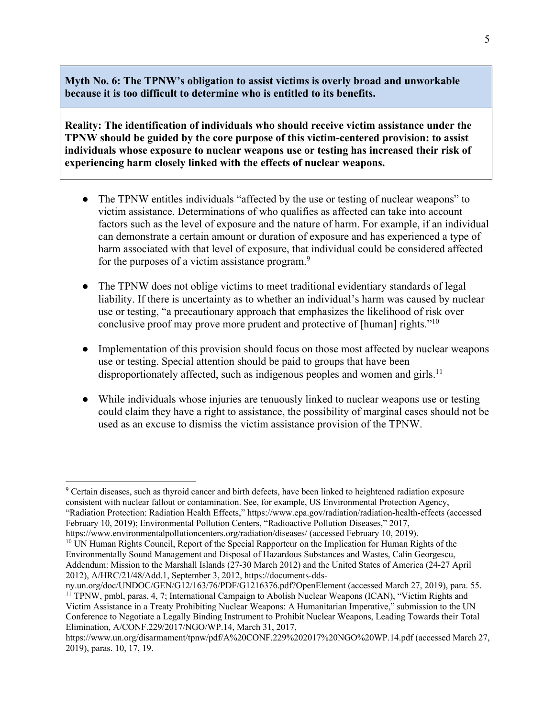**Myth No. 6: The TPNW's obligation to assist victims is overly broad and unworkable because it is too difficult to determine who is entitled to its benefits.**

**Reality: The identification of individuals who should receive victim assistance under the TPNW should be guided by the core purpose of this victim-centered provision: to assist individuals whose exposure to nuclear weapons use or testing has increased their risk of experiencing harm closely linked with the effects of nuclear weapons.**

- The TPNW entitles individuals "affected by the use or testing of nuclear weapons" to victim assistance. Determinations of who qualifies as affected can take into account factors such as the level of exposure and the nature of harm. For example, if an individual can demonstrate a certain amount or duration of exposure and has experienced a type of harm associated with that level of exposure, that individual could be considered affected for the purposes of a victim assistance program.<sup>9</sup>
- The TPNW does not oblige victims to meet traditional evidentiary standards of legal liability. If there is uncertainty as to whether an individual's harm was caused by nuclear use or testing, "a precautionary approach that emphasizes the likelihood of risk over conclusive proof may prove more prudent and protective of [human] rights."10
- Implementation of this provision should focus on those most affected by nuclear weapons use or testing. Special attention should be paid to groups that have been disproportionately affected, such as indigenous peoples and women and girls.<sup>11</sup>
- While individuals whose injuries are tenuously linked to nuclear weapons use or testing could claim they have a right to assistance, the possibility of marginal cases should not be used as an excuse to dismiss the victim assistance provision of the TPNW.

<sup>9</sup> Certain diseases, such as thyroid cancer and birth defects, have been linked to heightened radiation exposure consistent with nuclear fallout or contamination. See, for example, US Environmental Protection Agency, "Radiation Protection: Radiation Health Effects," https://www.epa.gov/radiation/radiation-health-effects (accessed

February 10, 2019); Environmental Pollution Centers, "Radioactive Pollution Diseases," 2017,

https://www.environmentalpollutioncenters.org/radiation/diseases/ (accessed February 10, 2019).<br><sup>10</sup> UN Human Rights Council, Report of the Special Rapporteur on the Implication for Human Rights of the

Environmentally Sound Management and Disposal of Hazardous Substances and Wastes, Calin Georgescu, Addendum: Mission to the Marshall Islands (27-30 March 2012) and the United States of America (24-27 April 2012), A/HRC/21/48/Add.1, September 3, 2012, https://documents-dds-

ny.un.org/doc/UNDOC/GEN/G12/163/76/PDF/G1216376.pdf?OpenElement (accessed March 27, 2019), para. 55. <sup>11</sup> TPNW, pmbl, paras. 4, 7; International Campaign to Abolish Nuclear Weapons (ICAN), "Victim Rights and Victim Assistance in a Treaty Prohibiting Nuclear Weapons: A Humanitarian Imperative," submission to the UN Conference to Negotiate a Legally Binding Instrument to Prohibit Nuclear Weapons, Leading Towards their Total Elimination, A/CONF.229/2017/NGO/WP.14, March 31, 2017,

https://www.un.org/disarmament/tpnw/pdf/A%20CONF.229%202017%20NGO%20WP.14.pdf (accessed March 27, 2019), paras. 10, 17, 19.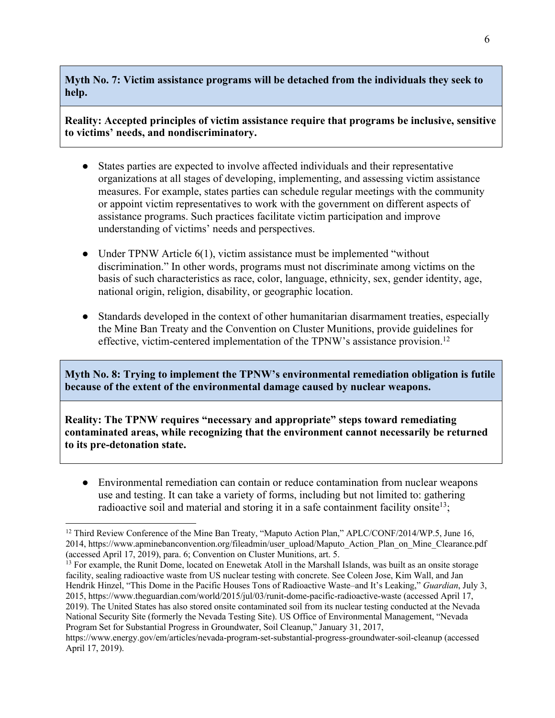**Myth No. 7: Victim assistance programs will be detached from the individuals they seek to help.**

**Reality: Accepted principles of victim assistance require that programs be inclusive, sensitive to victims' needs, and nondiscriminatory.**

- States parties are expected to involve affected individuals and their representative organizations at all stages of developing, implementing, and assessing victim assistance measures. For example, states parties can schedule regular meetings with the community or appoint victim representatives to work with the government on different aspects of assistance programs. Such practices facilitate victim participation and improve understanding of victims' needs and perspectives.
- Under TPNW Article 6(1), victim assistance must be implemented "without" discrimination." In other words, programs must not discriminate among victims on the basis of such characteristics as race, color, language, ethnicity, sex, gender identity, age, national origin, religion, disability, or geographic location.
- Standards developed in the context of other humanitarian disarmament treaties, especially the Mine Ban Treaty and the Convention on Cluster Munitions, provide guidelines for effective, victim-centered implementation of the TPNW's assistance provision.<sup>12</sup>

**Myth No. 8: Trying to implement the TPNW's environmental remediation obligation is futile because of the extent of the environmental damage caused by nuclear weapons.**

**Reality: The TPNW requires "necessary and appropriate" steps toward remediating contaminated areas, while recognizing that the environment cannot necessarily be returned to its pre-detonation state.** 

• Environmental remediation can contain or reduce contamination from nuclear weapons use and testing. It can take a variety of forms, including but not limited to: gathering radioactive soil and material and storing it in a safe containment facility onsite  $13$ ;

<sup>13</sup> For example, the Runit Dome, located on Enewetak Atoll in the Marshall Islands, was built as an onsite storage facility, sealing radioactive waste from US nuclear testing with concrete. See Coleen Jose, Kim Wall, and Jan Hendrik Hinzel, "This Dome in the Pacific Houses Tons of Radioactive Waste–and It's Leaking," *Guardian*, July 3, 2015, https://www.theguardian.com/world/2015/jul/03/runit-dome-pacific-radioactive-waste (accessed April 17, 2019). The United States has also stored onsite contaminated soil from its nuclear testing conducted at the Nevada National Security Site (formerly the Nevada Testing Site). US Office of Environmental Management, "Nevada Program Set for Substantial Progress in Groundwater, Soil Cleanup," January 31, 2017,

https://www.energy.gov/em/articles/nevada-program-set-substantial-progress-groundwater-soil-cleanup (accessed April 17, 2019).

<sup>&</sup>lt;sup>12</sup> Third Review Conference of the Mine Ban Treaty, "Maputo Action Plan," APLC/CONF/2014/WP.5, June 16, 2014, https://www.apminebanconvention.org/fileadmin/user\_upload/Maputo\_Action\_Plan\_on\_Mine\_Clearance.pdf (accessed April 17, 2019), para. 6; Convention on Cluster Munitions, art. 5.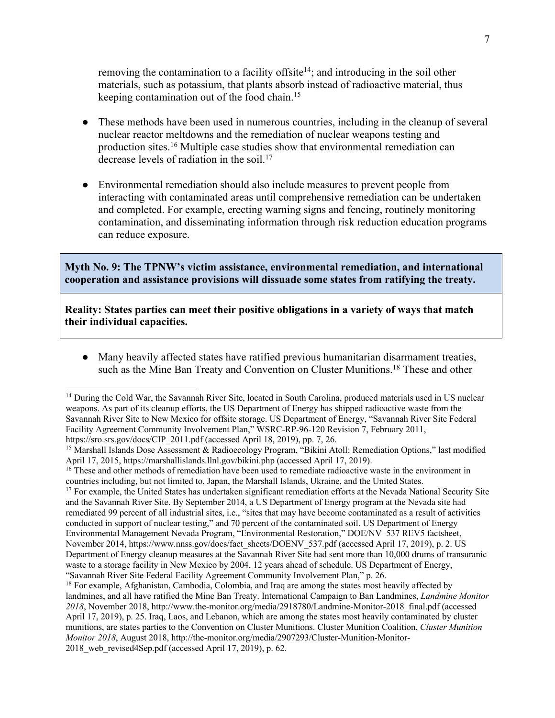removing the contamination to a facility offsite<sup>14</sup>; and introducing in the soil other materials, such as potassium, that plants absorb instead of radioactive material, thus keeping contamination out of the food chain. 15

- These methods have been used in numerous countries, including in the cleanup of several nuclear reactor meltdowns and the remediation of nuclear weapons testing and production sites.16 Multiple case studies show that environmental remediation can decrease levels of radiation in the soil. 17
- Environmental remediation should also include measures to prevent people from interacting with contaminated areas until comprehensive remediation can be undertaken and completed. For example, erecting warning signs and fencing, routinely monitoring contamination, and disseminating information through risk reduction education programs can reduce exposure.

**Myth No. 9: The TPNW's victim assistance, environmental remediation, and international cooperation and assistance provisions will dissuade some states from ratifying the treaty.** 

**Reality: States parties can meet their positive obligations in a variety of ways that match their individual capacities.** 

● Many heavily affected states have ratified previous humanitarian disarmament treaties, such as the Mine Ban Treaty and Convention on Cluster Munitions.<sup>18</sup> These and other

and the Savannah River Site. By September 2014, a US Department of Energy program at the Nevada site had remediated 99 percent of all industrial sites, i.e., "sites that may have become contaminated as a result of activities conducted in support of nuclear testing," and 70 percent of the contaminated soil. US Department of Energy Environmental Management Nevada Program, "Environmental Restoration," DOE/NV–537 REV5 factsheet, November 2014, https://www.nnss.gov/docs/fact\_sheets/DOENV\_537.pdf (accessed April 17, 2019), p. 2. US Department of Energy cleanup measures at the Savannah River Site had sent more than 10,000 drums of transuranic waste to a storage facility in New Mexico by 2004, 12 years ahead of schedule. US Department of Energy, "Savannah River Site Federal Facility Agreement Community Involvement Plan," p. 26. 18 For example, Afghanistan, Cambodia, Colombia, and Iraq are among the states most heavily affected by

<sup>&</sup>lt;sup>14</sup> During the Cold War, the Savannah River Site, located in South Carolina, produced materials used in US nuclear weapons. As part of its cleanup efforts, the US Department of Energy has shipped radioactive waste from the Savannah River Site to New Mexico for offsite storage. US Department of Energy, "Savannah River Site Federal Facility Agreement Community Involvement Plan," WSRC-RP-96-120 Revision 7, February 2011, https://sro.srs.gov/docs/CIP\_2011.pdf (accessed April 18, 2019), pp. 7, 26.

<sup>&</sup>lt;sup>15</sup> Marshall Islands Dose Assessment & Radioecology Program, "Bikini Atoll: Remediation Options," last modified April 17, 2015, https://marshallislands.llnl.gov/bikini.php (accessed April 17, 2019).

<sup>&</sup>lt;sup>16</sup> These and other methods of remediation have been used to remediate radioactive waste in the environment in countries including, but not limited to, Japan, the Marshall Islands, Ukraine, and the United States.<br><sup>17</sup> For example, the United States has undertaken significant remediation efforts at the Nevada National Security Site

landmines, and all have ratified the Mine Ban Treaty. International Campaign to Ban Landmines, *Landmine Monitor 2018*, November 2018, http://www.the-monitor.org/media/2918780/Landmine-Monitor-2018\_final.pdf (accessed April 17, 2019), p. 25. Iraq, Laos, and Lebanon, which are among the states most heavily contaminated by cluster munitions, are states parties to the Convention on Cluster Munitions. Cluster Munition Coalition, *Cluster Munition Monitor 2018*, August 2018, http://the-monitor.org/media/2907293/Cluster-Munition-Monitor-2018 web revised4Sep.pdf (accessed April 17, 2019), p. 62.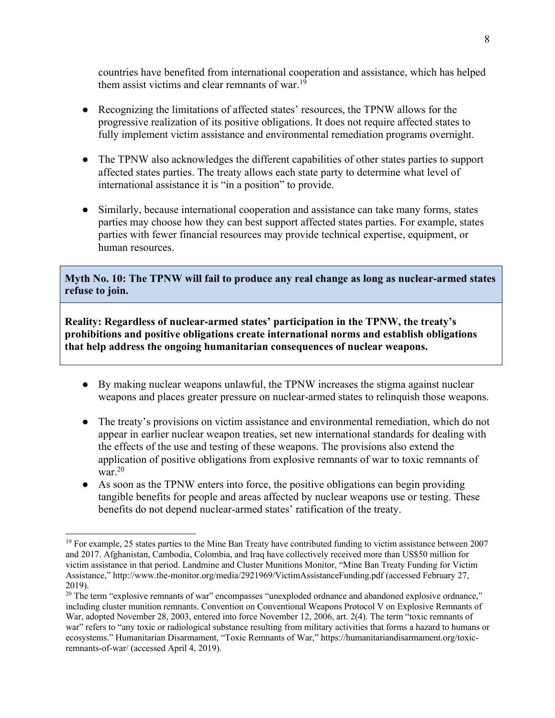countries have benefited from international cooperation and assistance, which has helped them assist victims and clear remnants of war.<sup>19</sup>

- Recognizing the limitations of affected states' resources, the TPNW allows for the progressive realization of its positive obligations. It does not require affected states to fully implement victim assistance and environmental remediation programs overnight.
- The TPNW also acknowledges the different capabilities of other states parties to support affected states parties. The treaty allows each state party to determine what level of international assistance it is "in a position" to provide.
- Similarly, because international cooperation and assistance can take many forms, states parties may choose how they can best support affected states parties. For example, states parties with fewer financial resources may provide technical expertise, equipment, or human resources.

**Myth No. 10: The TPNW will fail to produce any real change as long as nuclear-armed states refuse to join.**

**Reality: Regardless of nuclear-armed states' participation in the TPNW, the treaty's prohibitions and positive obligations create international norms and establish obligations that help address the ongoing humanitarian consequences of nuclear weapons.**

- By making nuclear weapons unlawful, the TPNW increases the stigma against nuclear weapons and places greater pressure on nuclear-armed states to relinquish those weapons.
- The treaty's provisions on victim assistance and environmental remediation, which do not appear in earlier nuclear weapon treaties, set new international standards for dealing with the effects of the use and testing of these weapons. The provisions also extend the application of positive obligations from explosive remnants of war to toxic remnants of war.<sup>20</sup>
- As soon as the TPNW enters into force, the positive obligations can begin providing tangible benefits for people and areas affected by nuclear weapons use or testing. These benefits do not depend nuclear-armed states' ratification of the treaty.

 $\overline{a}$ 

<sup>&</sup>lt;sup>19</sup> For example, 25 states parties to the Mine Ban Treaty have contributed funding to victim assistance between 2007 and 2017. Afghanistan, Cambodia, Colombia, and Iraq have collectively received more than US\$50 million for victim assistance in that period. Landmine and Cluster Munitions Monitor, "Mine Ban Treaty Funding for Victim Assistance," http://www.the-monitor.org/media/2921969/VictimAssistanceFunding.pdf (accessed February 27, 2019).

<sup>&</sup>lt;sup>20</sup> The term "explosive remnants of war" encompasses "unexploded ordnance and abandoned explosive ordnance," including cluster munition remnants. Convention on Conventional Weapons Protocol V on Explosive Remnants of War, adopted November 28, 2003, entered into force November 12, 2006, art. 2(4). The term "toxic remnants of war" refers to "any toxic or radiological substance resulting from military activities that forms a hazard to humans or ecosystems." Humanitarian Disarmament, "Toxic Remnants of War," https://humanitariandisarmament.org/toxicremnants-of-war/ (accessed April 4, 2019).